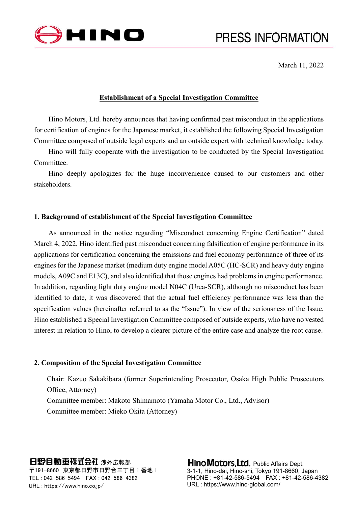

March 11, 2022

## **Establishment of a Special Investigation Committee**

Hino Motors, Ltd. hereby announces that having confirmed past misconduct in the applications for certification of engines for the Japanese market, it established the following Special Investigation Committee composed of outside legal experts and an outside expert with technical knowledge today.

Hino will fully cooperate with the investigation to be conducted by the Special Investigation Committee.

Hino deeply apologizes for the huge inconvenience caused to our customers and other stakeholders.

# **1. Background of establishment of the Special Investigation Committee**

As announced in the notice regarding "Misconduct concerning Engine Certification" dated March 4, 2022, Hino identified past misconduct concerning falsification of engine performance in its applications for certification concerning the emissions and fuel economy performance of three of its engines for the Japanese market (medium duty engine model A05C (HC-SCR) and heavy duty engine models, A09C and E13C), and also identified that those engines had problems in engine performance. In addition, regarding light duty engine model N04C (Urea-SCR), although no misconduct has been identified to date, it was discovered that the actual fuel efficiency performance was less than the specification values (hereinafter referred to as the "Issue"). In view of the seriousness of the Issue, Hino established a Special Investigation Committee composed of outside experts, who have no vested interest in relation to Hino, to develop a clearer picture of the entire case and analyze the root cause.

### **2. Composition of the Special Investigation Committee**

Chair: Kazuo Sakakibara (former Superintending Prosecutor, Osaka High Public Prosecutors Office, Attorney) Committee member: Makoto Shimamoto (Yamaha Motor Co., Ltd., Advisor) Committee member: Mieko Okita (Attorney)

### 日野自動車株式会社 涉外広報部

〒191-8660 東京都日野市日野台三丁目 1 番地 1 TEL : 042-586-5494 FAX : 042-586-4382 URL : https://www.hino.co.jp/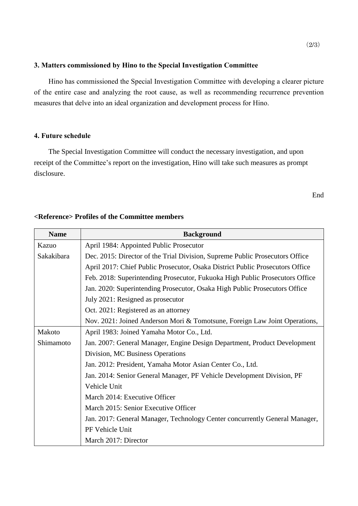## **3. Matters commissioned by Hino to the Special Investigation Committee**

Hino has commissioned the Special Investigation Committee with developing a clearer picture of the entire case and analyzing the root cause, as well as recommending recurrence prevention measures that delve into an ideal organization and development process for Hino.

#### **4. Future schedule**

The Special Investigation Committee will conduct the necessary investigation, and upon receipt of the Committee's report on the investigation, Hino will take such measures as prompt disclosure.

End

# **<Reference> Profiles of the Committee members**

| <b>Name</b> | <b>Background</b>                                                             |
|-------------|-------------------------------------------------------------------------------|
| Kazuo       | April 1984: Appointed Public Prosecutor                                       |
| Sakakibara  | Dec. 2015: Director of the Trial Division, Supreme Public Prosecutors Office  |
|             | April 2017: Chief Public Prosecutor, Osaka District Public Prosecutors Office |
|             | Feb. 2018: Superintending Prosecutor, Fukuoka High Public Prosecutors Office  |
|             | Jan. 2020: Superintending Prosecutor, Osaka High Public Prosecutors Office    |
|             | July 2021: Resigned as prosecutor                                             |
|             | Oct. 2021: Registered as an attorney                                          |
|             | Nov. 2021: Joined Anderson Mori & Tomotsune, Foreign Law Joint Operations,    |
| Makoto      | April 1983: Joined Yamaha Motor Co., Ltd.                                     |
| Shimamoto   | Jan. 2007: General Manager, Engine Design Department, Product Development     |
|             | Division, MC Business Operations                                              |
|             | Jan. 2012: President, Yamaha Motor Asian Center Co., Ltd.                     |
|             | Jan. 2014: Senior General Manager, PF Vehicle Development Division, PF        |
|             | Vehicle Unit                                                                  |
|             | March 2014: Executive Officer                                                 |
|             | March 2015: Senior Executive Officer                                          |
|             | Jan. 2017: General Manager, Technology Center concurrently General Manager,   |
|             | PF Vehicle Unit                                                               |
|             | March 2017: Director                                                          |